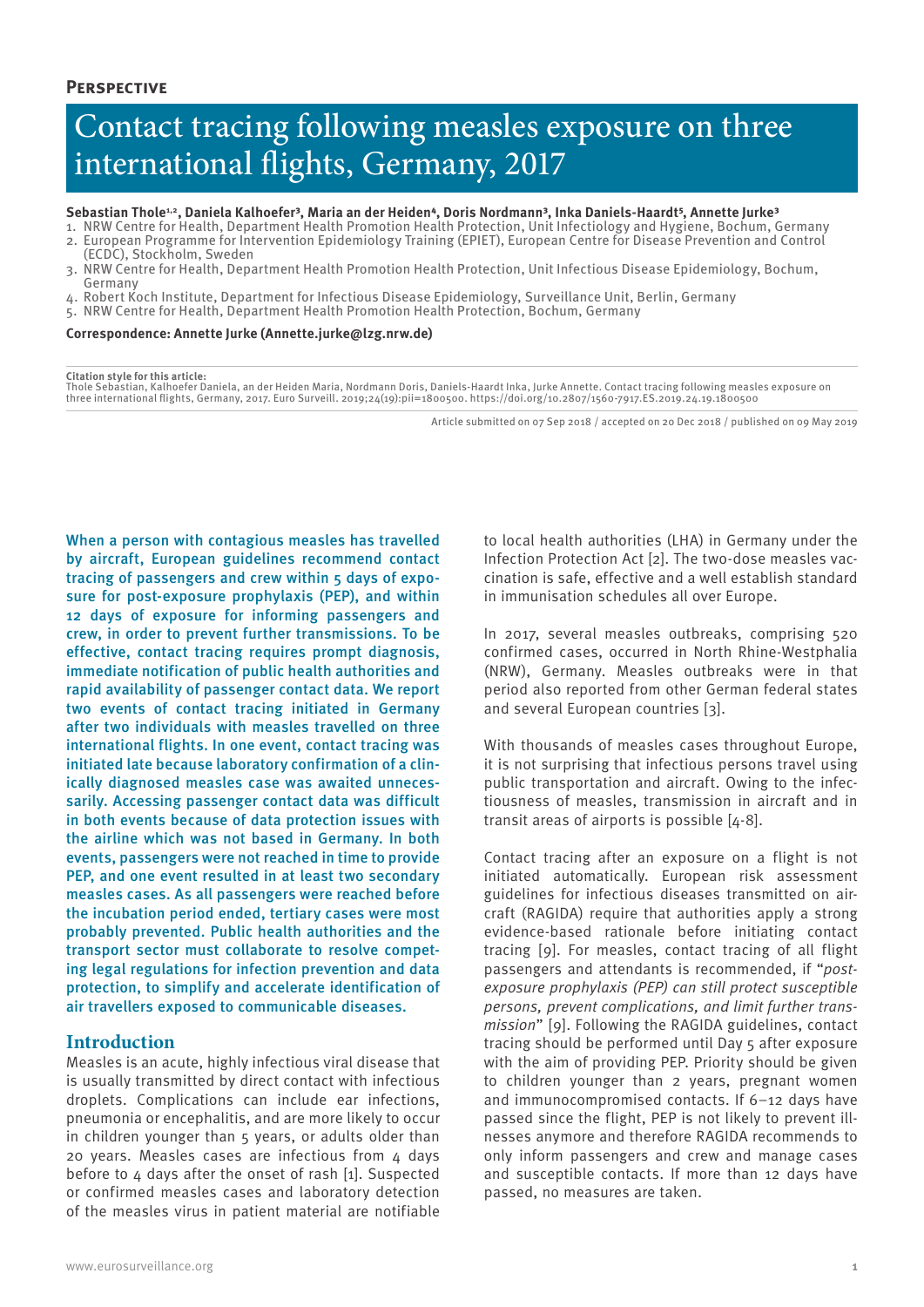# Contact tracing following measles exposure on three international flights, Germany, 2017

#### Sebastian Thole<sup>1,2</sup>, Daniela Kalhoefer<sup>3</sup>, Maria an der Heiden<sup>4</sup>, Doris Nordmann<sup>3</sup>, Inka Daniels-Haardt<sup>5</sup>, Annette Jurke<sup>3</sup>

- 1. NRW Centre for Health, Department Health Promotion Health Protection, Unit Infectiology and Hygiene, Bochum, Germany 2. European Programme for Intervention Epidemiology Training (EPIET), European Centre for Disease Prevention and Control (ECDC), Stockholm, Sweden
- 3. NRW Centre for Health, Department Health Promotion Health Protection, Unit Infectious Disease Epidemiology, Bochum, Germany
- 4. Robert Koch Institute, Department for Infectious Disease Epidemiology, Surveillance Unit, Berlin, Germany
- 5. NRW Centre for Health, Department Health Promotion Health Protection, Bochum, Germany

**Correspondence: Annette Jurke (Annette.jurke@lzg.nrw.de)**

#### **Citation style for this article:**

Thole Sebastian, Kalhoefer Daniela, an der Heiden Maria, Nordmann Doris, Daniels-Haardt Inka, Jurke Annette. Contact tracing following measles exposure on three international flights, Germany, 2017. Euro Surveill. 2019;24(19):pii=1800500. https://doi.org/10.2807/1560-7917.ES.2019.24.19.1800500

Article submitted on 07 Sep 2018 / accepted on 20 Dec 2018 / published on 09 May 2019

When a person with contagious measles has travelled by aircraft, European guidelines recommend contact tracing of passengers and crew within 5 days of exposure for post-exposure prophylaxis (PEP), and within 12 days of exposure for informing passengers and crew, in order to prevent further transmissions. To be effective, contact tracing requires prompt diagnosis, immediate notification of public health authorities and rapid availability of passenger contact data. We report two events of contact tracing initiated in Germany after two individuals with measles travelled on three international flights. In one event, contact tracing was initiated late because laboratory confirmation of a clinically diagnosed measles case was awaited unnecessarily. Accessing passenger contact data was difficult in both events because of data protection issues with the airline which was not based in Germany. In both events, passengers were not reached in time to provide PEP, and one event resulted in at least two secondary measles cases. As all passengers were reached before the incubation period ended, tertiary cases were most probably prevented. Public health authorities and the transport sector must collaborate to resolve competing legal regulations for infection prevention and data protection, to simplify and accelerate identification of air travellers exposed to communicable diseases.

# **Introduction**

Measles is an acute, highly infectious viral disease that is usually transmitted by direct contact with infectious droplets. Complications can include ear infections, pneumonia or encephalitis, and are more likely to occur in children younger than 5 years, or adults older than 20 years. Measles cases are infectious from 4 days before to 4 days after the onset of rash [1]. Suspected or confirmed measles cases and laboratory detection of the measles virus in patient material are notifiable

to local health authorities (LHA) in Germany under the Infection Protection Act [2]. The two-dose measles vaccination is safe, effective and a well establish standard in immunisation schedules all over Europe.

In 2017, several measles outbreaks, comprising 520 confirmed cases, occurred in North Rhine-Westphalia (NRW), Germany. Measles outbreaks were in that period also reported from other German federal states and several European countries [3].

With thousands of measles cases throughout Europe, it is not surprising that infectious persons travel using public transportation and aircraft. Owing to the infectiousness of measles, transmission in aircraft and in transit areas of airports is possible [4-8].

Contact tracing after an exposure on a flight is not initiated automatically. European risk assessment guidelines for infectious diseases transmitted on aircraft (RAGIDA) require that authorities apply a strong evidence-based rationale before initiating contact tracing [9]. For measles, contact tracing of all flight passengers and attendants is recommended, if "*postexposure prophylaxis (PEP) can still protect susceptible persons, prevent complications, and limit further transmission*" [9]. Following the RAGIDA guidelines, contact tracing should be performed until Day 5 after exposure with the aim of providing PEP. Priority should be given to children younger than 2 years, pregnant women and immunocompromised contacts. If 6–12 days have passed since the flight, PEP is not likely to prevent illnesses anymore and therefore RAGIDA recommends to only inform passengers and crew and manage cases and susceptible contacts. If more than 12 days have passed, no measures are taken.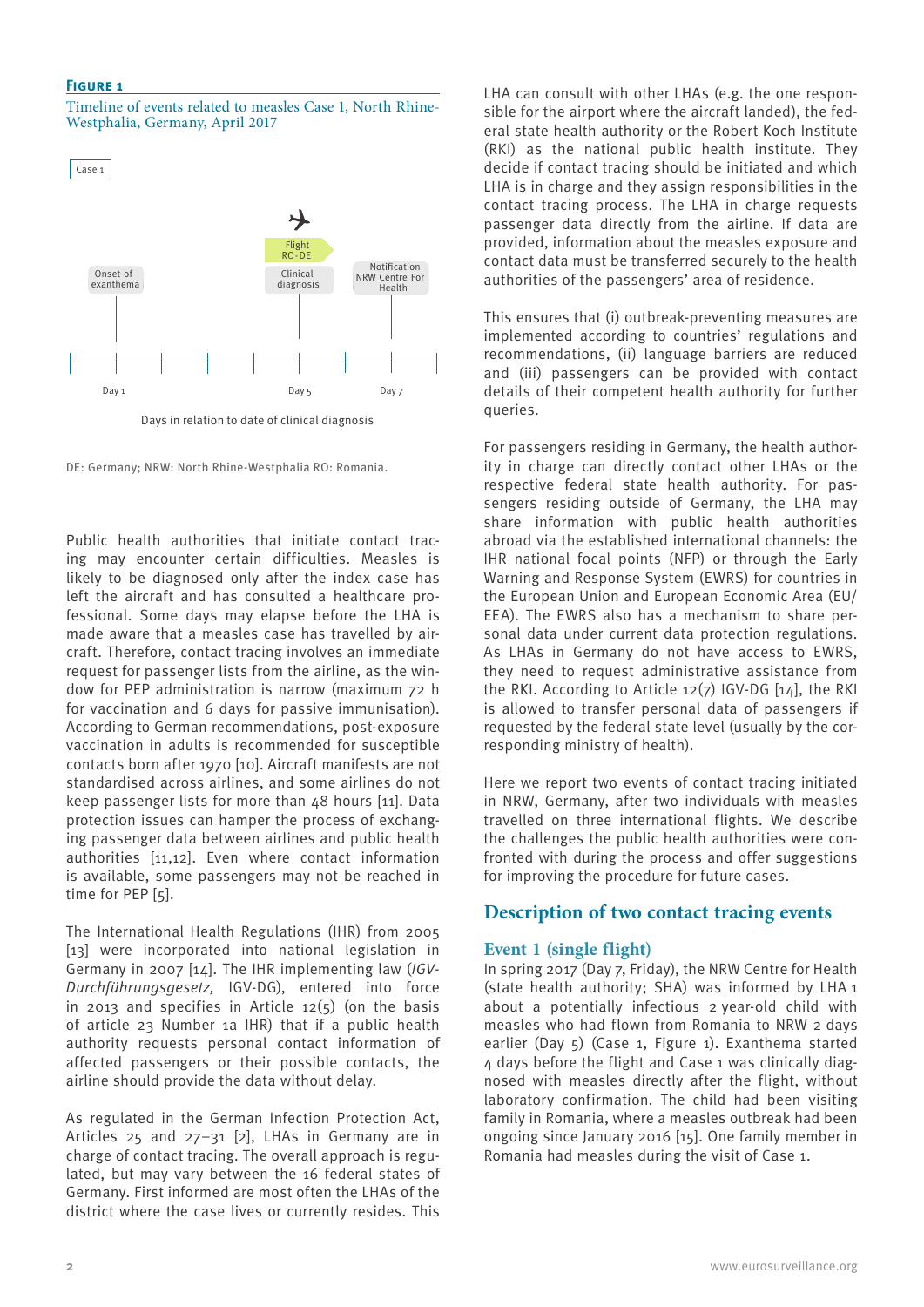## **Figure 1**

Timeline of events related to measles Case 1, North Rhine-Westphalia, Germany, April 2017

Case 1



Days in relation to date of clinical diagnosis

DE: Germany; NRW: North Rhine-Westphalia RO: Romania.

Public health authorities that initiate contact tracing may encounter certain difficulties. Measles is likely to be diagnosed only after the index case has left the aircraft and has consulted a healthcare professional. Some days may elapse before the LHA is made aware that a measles case has travelled by aircraft. Therefore, contact tracing involves an immediate request for passenger lists from the airline, as the window for PEP administration is narrow (maximum 72 h for vaccination and 6 days for passive immunisation). According to German recommendations, post-exposure vaccination in adults is recommended for susceptible contacts born after 1970 [10]. Aircraft manifests are not standardised across airlines, and some airlines do not keep passenger lists for more than 48 hours [11]. Data protection issues can hamper the process of exchanging passenger data between airlines and public health authorities [11,12]. Even where contact information is available, some passengers may not be reached in time for PEP [5].

The International Health Regulations (IHR) from 2005 [13] were incorporated into national legislation in Germany in 2007 [14]. The IHR implementing law (*IGV-Durchführungsgesetz,* IGV-DG), entered into force in 2013 and specifies in Article 12(5) (on the basis of article 23 Number 1a IHR) that if a public health authority requests personal contact information of affected passengers or their possible contacts, the airline should provide the data without delay.

As regulated in the German Infection Protection Act, Articles 25 and 27–31 [2], LHAs in Germany are in charge of contact tracing. The overall approach is regulated, but may vary between the 16 federal states of Germany. First informed are most often the LHAs of the district where the case lives or currently resides. This

LHA can consult with other LHAs (e.g. the one responsible for the airport where the aircraft landed), the federal state health authority or the Robert Koch Institute (RKI) as the national public health institute. They decide if contact tracing should be initiated and which LHA is in charge and they assign responsibilities in the contact tracing process. The LHA in charge requests passenger data directly from the airline. If data are provided, information about the measles exposure and contact data must be transferred securely to the health authorities of the passengers' area of residence.

This ensures that (i) outbreak-preventing measures are implemented according to countries' regulations and recommendations, (ii) language barriers are reduced and (iii) passengers can be provided with contact details of their competent health authority for further queries.

For passengers residing in Germany, the health authority in charge can directly contact other LHAs or the respective federal state health authority. For passengers residing outside of Germany, the LHA may share information with public health authorities abroad via the established international channels: the IHR national focal points (NFP) or through the Early Warning and Response System (EWRS) for countries in the European Union and European Economic Area (EU/ EEA). The EWRS also has a mechanism to share personal data under current data protection regulations. As LHAs in Germany do not have access to EWRS, they need to request administrative assistance from the RKI. According to Article 12(7) IGV-DG [14], the RKI is allowed to transfer personal data of passengers if requested by the federal state level (usually by the corresponding ministry of health).

Here we report two events of contact tracing initiated in NRW, Germany, after two individuals with measles travelled on three international flights. We describe the challenges the public health authorities were confronted with during the process and offer suggestions for improving the procedure for future cases.

# **Description of two contact tracing events**

# **Event 1 (single flight)**

In spring 2017 (Day 7, Friday), the NRW Centre for Health (state health authority; SHA) was informed by LHA 1 about a potentially infectious 2 year-old child with measles who had flown from Romania to NRW 2 days earlier (Day 5) (Case 1, Figure 1). Exanthema started 4 days before the flight and Case 1 was clinically diagnosed with measles directly after the flight, without laboratory confirmation. The child had been visiting family in Romania, where a measles outbreak had been ongoing since January 2016 [15]. One family member in Romania had measles during the visit of Case 1.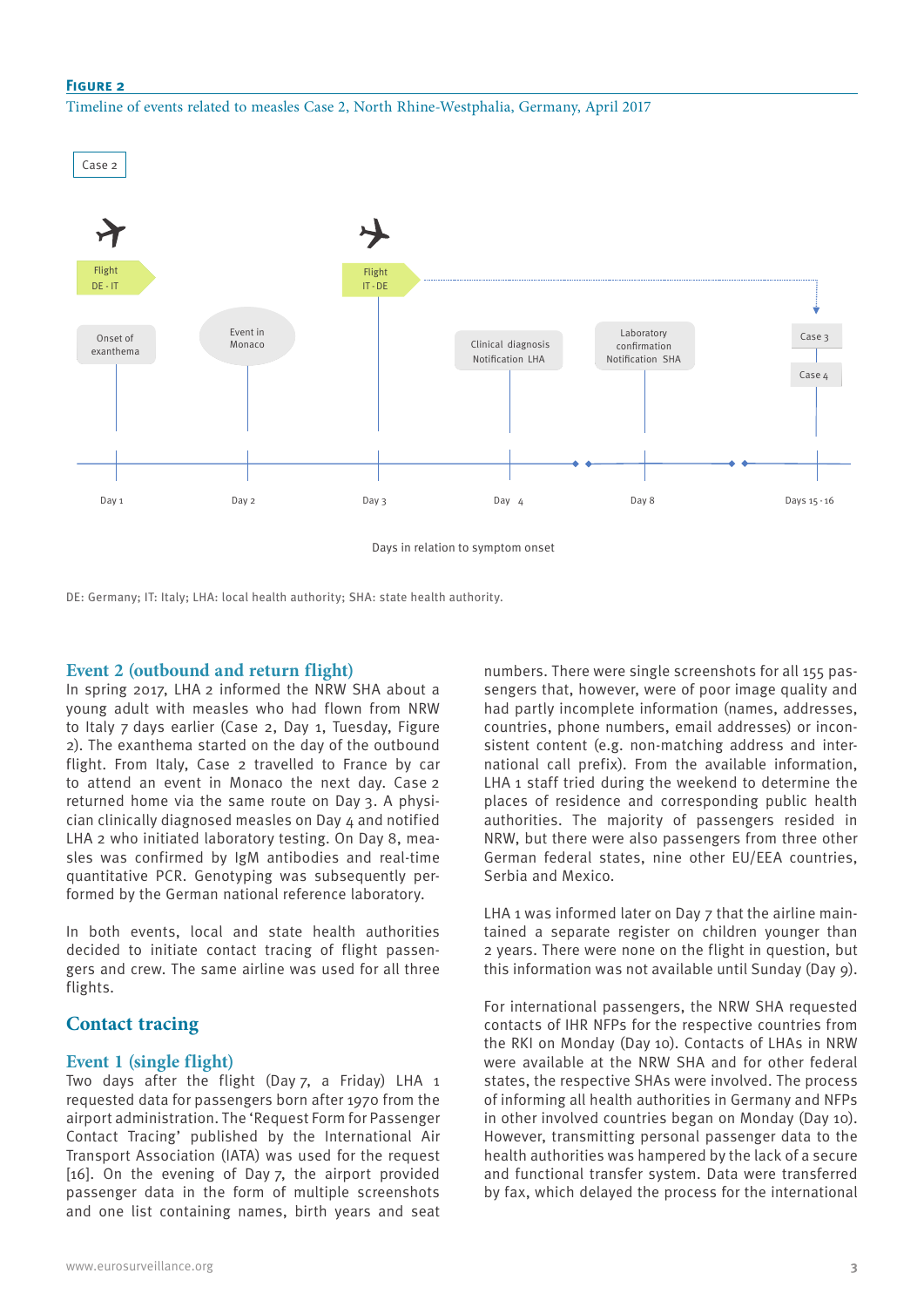#### **Figure 2**

#### Timeline of events related to measles Case 2, North Rhine-Westphalia, Germany, April 2017



Days in relation to symptom onset

DE: Germany; IT: Italy; LHA: local health authority; SHA: state health authority.

## **Event 2 (outbound and return flight)**

In spring 2017, LHA 2 informed the NRW SHA about a young adult with measles who had flown from NRW to Italy 7 days earlier (Case 2, Day 1, Tuesday, Figure 2). The exanthema started on the day of the outbound flight. From Italy, Case 2 travelled to France by car to attend an event in Monaco the next day. Case 2 returned home via the same route on Day 3. A physician clinically diagnosed measles on Day 4 and notified LHA 2 who initiated laboratory testing. On Day 8, measles was confirmed by IgM antibodies and real-time quantitative PCR. Genotyping was subsequently performed by the German national reference laboratory.

In both events, local and state health authorities decided to initiate contact tracing of flight passengers and crew. The same airline was used for all three flights.

# **Contact tracing**

## **Event 1 (single flight)**

Two days after the flight (Day 7, a Friday) LHA 1 requested data for passengers born after 1970 from the airport administration. The 'Request Form for Passenger Contact Tracing' published by the International Air Transport Association (IATA) was used for the request [16]. On the evening of Day 7, the airport provided passenger data in the form of multiple screenshots and one list containing names, birth years and seat numbers. There were single screenshots for all 155 passengers that, however, were of poor image quality and had partly incomplete information (names, addresses, countries, phone numbers, email addresses) or inconsistent content (e.g. non-matching address and international call prefix). From the available information, LHA 1 staff tried during the weekend to determine the places of residence and corresponding public health authorities. The majority of passengers resided in NRW, but there were also passengers from three other German federal states, nine other EU/EEA countries, Serbia and Mexico.

LHA 1 was informed later on Day 7 that the airline maintained a separate register on children younger than 2 years. There were none on the flight in question, but this information was not available until Sunday (Day 9).

For international passengers, the NRW SHA requested contacts of IHR NFPs for the respective countries from the RKI on Monday (Day 10). Contacts of LHAs in NRW were available at the NRW SHA and for other federal states, the respective SHAs were involved. The process of informing all health authorities in Germany and NFPs in other involved countries began on Monday (Day 10). However, transmitting personal passenger data to the health authorities was hampered by the lack of a secure and functional transfer system. Data were transferred by fax, which delayed the process for the international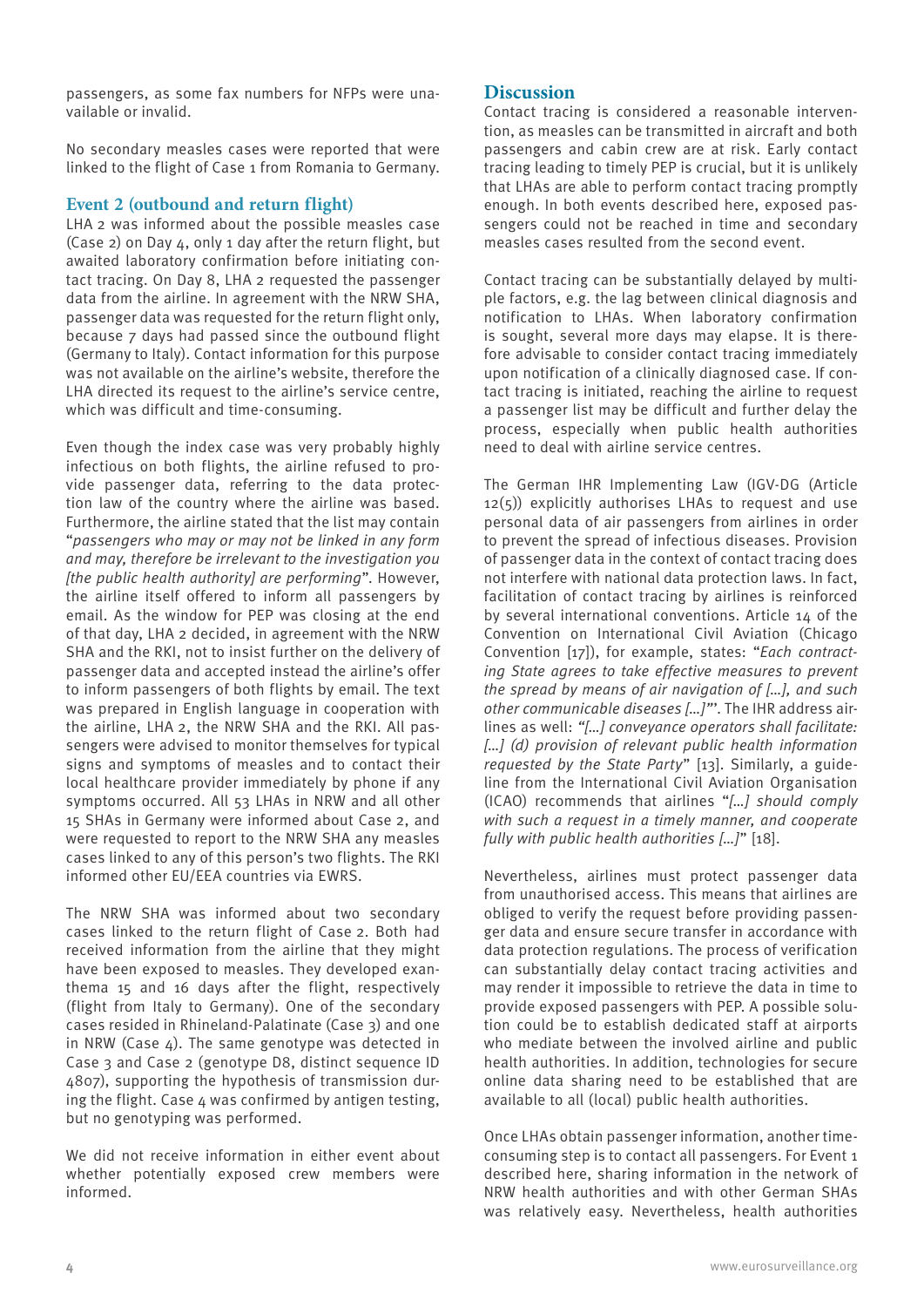passengers, as some fax numbers for NFPs were unavailable or invalid.

No secondary measles cases were reported that were linked to the flight of Case 1 from Romania to Germany.

# **Event 2 (outbound and return flight)**

LHA 2 was informed about the possible measles case (Case 2) on Day 4, only 1 day after the return flight, but awaited laboratory confirmation before initiating contact tracing. On Day 8, LHA 2 requested the passenger data from the airline. In agreement with the NRW SHA, passenger data was requested for the return flight only, because 7 days had passed since the outbound flight (Germany to Italy). Contact information for this purpose was not available on the airline's website, therefore the LHA directed its request to the airline's service centre, which was difficult and time-consuming.

Even though the index case was very probably highly infectious on both flights, the airline refused to provide passenger data, referring to the data protection law of the country where the airline was based. Furthermore, the airline stated that the list may contain "*passengers who may or may not be linked in any form and may, therefore be irrelevant to the investigation you [the public health authority] are performing*". However, the airline itself offered to inform all passengers by email. As the window for PEP was closing at the end of that day, LHA 2 decided, in agreement with the NRW SHA and the RKI, not to insist further on the delivery of passenger data and accepted instead the airline's offer to inform passengers of both flights by email. The text was prepared in English language in cooperation with the airline, LHA 2, the NRW SHA and the RKI. All passengers were advised to monitor themselves for typical signs and symptoms of measles and to contact their local healthcare provider immediately by phone if any symptoms occurred. All 53 LHAs in NRW and all other 15 SHAs in Germany were informed about Case 2, and were requested to report to the NRW SHA any measles cases linked to any of this person's two flights. The RKI informed other EU/EEA countries via EWRS.

The NRW SHA was informed about two secondary cases linked to the return flight of Case 2. Both had received information from the airline that they might have been exposed to measles. They developed exanthema 15 and 16 days after the flight, respectively (flight from Italy to Germany). One of the secondary cases resided in Rhineland-Palatinate (Case 3) and one in NRW (Case  $4$ ). The same genotype was detected in Case 3 and Case 2 (genotype D8, distinct sequence ID 4807), supporting the hypothesis of transmission during the flight. Case 4 was confirmed by antigen testing, but no genotyping was performed.

We did not receive information in either event about whether potentially exposed crew members were informed.

# **Discussion**

Contact tracing is considered a reasonable intervention, as measles can be transmitted in aircraft and both passengers and cabin crew are at risk. Early contact tracing leading to timely PEP is crucial, but it is unlikely that LHAs are able to perform contact tracing promptly enough. In both events described here, exposed passengers could not be reached in time and secondary measles cases resulted from the second event.

Contact tracing can be substantially delayed by multiple factors, e.g. the lag between clinical diagnosis and notification to LHAs. When laboratory confirmation is sought, several more days may elapse. It is therefore advisable to consider contact tracing immediately upon notification of a clinically diagnosed case. If contact tracing is initiated, reaching the airline to request a passenger list may be difficult and further delay the process, especially when public health authorities need to deal with airline service centres.

The German IHR Implementing Law (IGV-DG (Article 12(5)) explicitly authorises LHAs to request and use personal data of air passengers from airlines in order to prevent the spread of infectious diseases. Provision of passenger data in the context of contact tracing does not interfere with national data protection laws. In fact, facilitation of contact tracing by airlines is reinforced by several international conventions. Article 14 of the Convention on International Civil Aviation (Chicago Convention [17]), for example, states: "*Each contracting State agrees to take effective measures to prevent the spread by means of air navigation of […], and such other communicable diseases […]"*'. The IHR address airlines as well: *"[…] conveyance operators shall facilitate: […] (d) provision of relevant public health information requested by the State Party*" [13]. Similarly, a guideline from the International Civil Aviation Organisation (ICAO) recommends that airlines "*[…] should comply with such a request in a timely manner, and cooperate fully with public health authorities […]*" [18].

Nevertheless, airlines must protect passenger data from unauthorised access. This means that airlines are obliged to verify the request before providing passenger data and ensure secure transfer in accordance with data protection regulations. The process of verification can substantially delay contact tracing activities and may render it impossible to retrieve the data in time to provide exposed passengers with PEP. A possible solution could be to establish dedicated staff at airports who mediate between the involved airline and public health authorities. In addition, technologies for secure online data sharing need to be established that are available to all (local) public health authorities.

Once LHAs obtain passenger information, another timeconsuming step is to contact all passengers. For Event 1 described here, sharing information in the network of NRW health authorities and with other German SHAs was relatively easy. Nevertheless, health authorities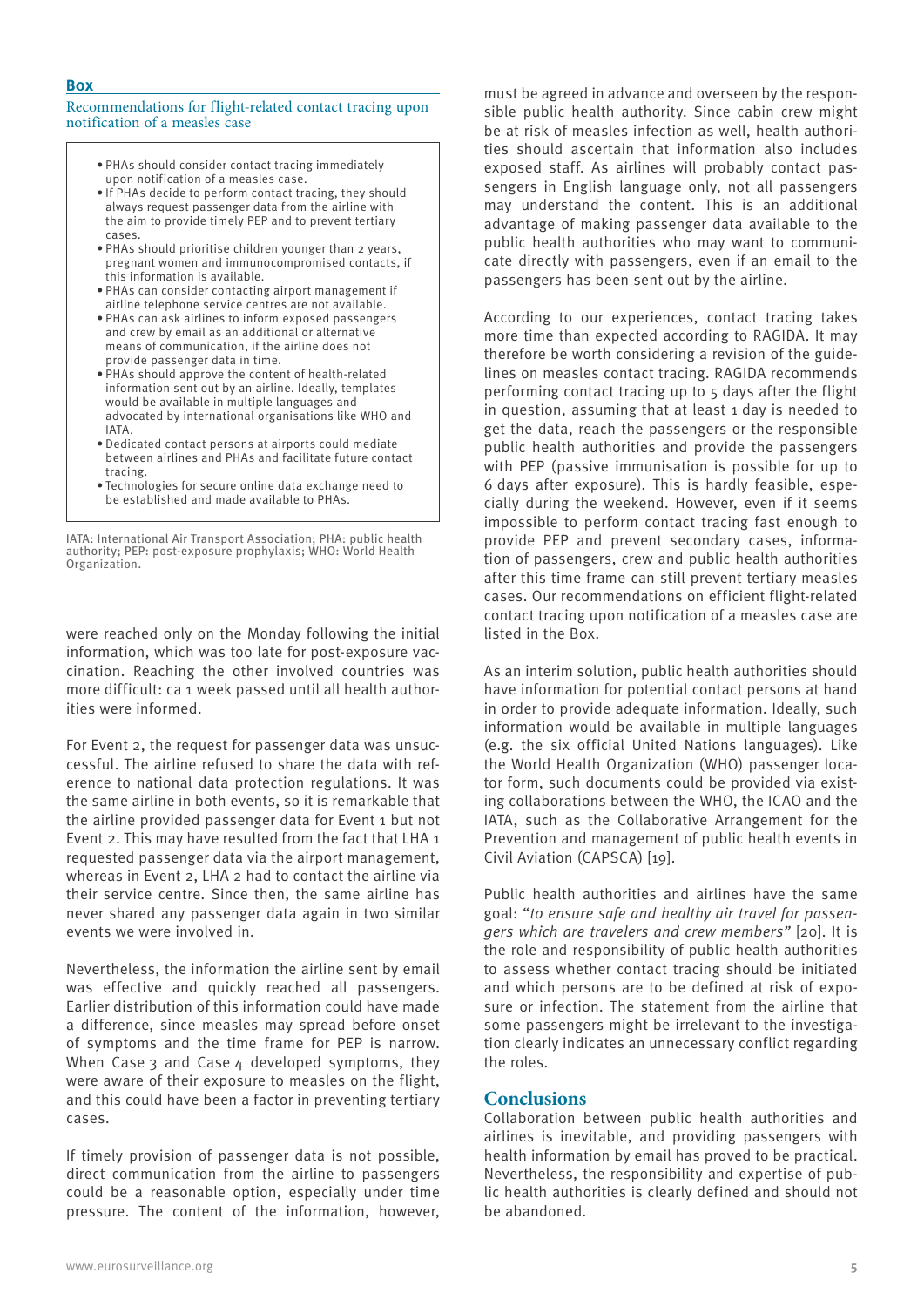#### Recommendations for flight-related contact tracing upon notification of a measles case

- PHAs should consider contact tracing immediately upon notification of a measles case.
- If PHAs decide to perform contact tracing, they should always request passenger data from the airline with the aim to provide timely PEP and to prevent tertiary cases.
- PHAs should prioritise children younger than 2 years, pregnant women and immunocompromised contacts, if this information is available.
- PHAs can consider contacting airport management if airline telephone service centres are not available.
- PHAs can ask airlines to inform exposed passengers and crew by email as an additional or alternative means of communication, if the airline does not provide passenger data in time.
- PHAs should approve the content of health-related information sent out by an airline. Ideally, templates would be available in multiple languages and advocated by international organisations like WHO and IATA.
- Dedicated contact persons at airports could mediate between airlines and PHAs and facilitate future contact tracing.
- Technologies for secure online data exchange need to be established and made available to PHAs.

IATA: International Air Transport Association; PHA: public health authority; PEP: post-exposure prophylaxis; WHO: World Health Organization.

were reached only on the Monday following the initial information, which was too late for post-exposure vaccination. Reaching the other involved countries was more difficult: ca 1 week passed until all health authorities were informed.

For Event 2, the request for passenger data was unsuccessful. The airline refused to share the data with reference to national data protection regulations. It was the same airline in both events, so it is remarkable that the airline provided passenger data for Event 1 but not Event 2. This may have resulted from the fact that LHA 1 requested passenger data via the airport management, whereas in Event 2, LHA 2 had to contact the airline via their service centre. Since then, the same airline has never shared any passenger data again in two similar events we were involved in.

Nevertheless, the information the airline sent by email was effective and quickly reached all passengers. Earlier distribution of this information could have made a difference, since measles may spread before onset of symptoms and the time frame for PEP is narrow. When Case 3 and Case  $\Delta$  developed symptoms, they were aware of their exposure to measles on the flight, and this could have been a factor in preventing tertiary cases.

If timely provision of passenger data is not possible, direct communication from the airline to passengers could be a reasonable option, especially under time pressure. The content of the information, however,

must be agreed in advance and overseen by the responsible public health authority. Since cabin crew might be at risk of measles infection as well, health authorities should ascertain that information also includes exposed staff. As airlines will probably contact passengers in English language only, not all passengers may understand the content. This is an additional advantage of making passenger data available to the public health authorities who may want to communicate directly with passengers, even if an email to the passengers has been sent out by the airline.

According to our experiences, contact tracing takes more time than expected according to RAGIDA. It may therefore be worth considering a revision of the guidelines on measles contact tracing. RAGIDA recommends performing contact tracing up to 5 days after the flight in question, assuming that at least 1 day is needed to get the data, reach the passengers or the responsible public health authorities and provide the passengers with PEP (passive immunisation is possible for up to 6 days after exposure). This is hardly feasible, especially during the weekend. However, even if it seems impossible to perform contact tracing fast enough to provide PEP and prevent secondary cases, information of passengers, crew and public health authorities after this time frame can still prevent tertiary measles cases. Our recommendations on efficient flight-related contact tracing upon notification of a measles case are listed in the Box.

As an interim solution, public health authorities should have information for potential contact persons at hand in order to provide adequate information. Ideally, such information would be available in multiple languages (e.g. the six official United Nations languages). Like the World Health Organization (WHO) passenger locator form, such documents could be provided via existing collaborations between the WHO, the ICAO and the IATA, such as the Collaborative Arrangement for the Prevention and management of public health events in Civil Aviation (CAPSCA) [19].

Public health authorities and airlines have the same goal: "*to ensure safe and healthy air travel for passengers which are travelers and crew members"* [20]. It is the role and responsibility of public health authorities to assess whether contact tracing should be initiated and which persons are to be defined at risk of exposure or infection. The statement from the airline that some passengers might be irrelevant to the investigation clearly indicates an unnecessary conflict regarding the roles.

# **Conclusions**

Collaboration between public health authorities and airlines is inevitable, and providing passengers with health information by email has proved to be practical. Nevertheless, the responsibility and expertise of public health authorities is clearly defined and should not be abandoned.